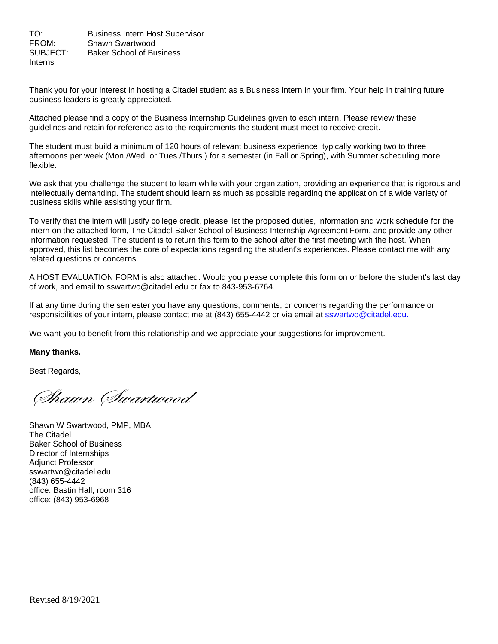TO: Business Intern Host Supervisor FROM: Shawn Swartwood SUBJECT: Baker School of Business Interns

Thank you for your interest in hosting a Citadel student as a Business Intern in your firm. Your help in training future business leaders is greatly appreciated.

Attached please find a copy of the Business Internship Guidelines given to each intern. Please review these guidelines and retain for reference as to the requirements the student must meet to receive credit.

The student must build a minimum of 120 hours of relevant business experience, typically working two to three afternoons per week (Mon./Wed. or Tues./Thurs.) for a semester (in Fall or Spring), with Summer scheduling more flexible.

We ask that you challenge the student to learn while with your organization, providing an experience that is rigorous and intellectually demanding. The student should learn as much as possible regarding the application of a wide variety of business skills while assisting your firm.

To verify that the intern will justify college credit, please list the proposed duties, information and work schedule for the intern on the attached form, The Citadel Baker School of Business Internship Agreement Form, and provide any other information requested. The student is to return this form to the school after the first meeting with the host. When approved, this list becomes the core of expectations regarding the student's experiences. Please contact me with any related questions or concerns.

A HOST EVALUATION FORM is also attached. Would you please complete this form on or before the student's last day of work, and email to sswartwo@citadel.edu or fax to 843-953-6764.

If at any time during the semester you have any questions, comments, or concerns regarding the performance or responsibilities of your intern, please contact me at (843) 655-4442 or via email at sswartwo@citadel.edu.

We want you to benefit from this relationship and we appreciate your suggestions for improvement.

## **Many thanks.**

Best Regards,

Shawn Swartwood

Shawn W Swartwood, PMP, MBA The Citadel Baker School of Business Director of Internships Adjunct Professor sswartwo@citadel.edu (843) 655-4442 office: Bastin Hall, room 316 office: (843) 953-6968